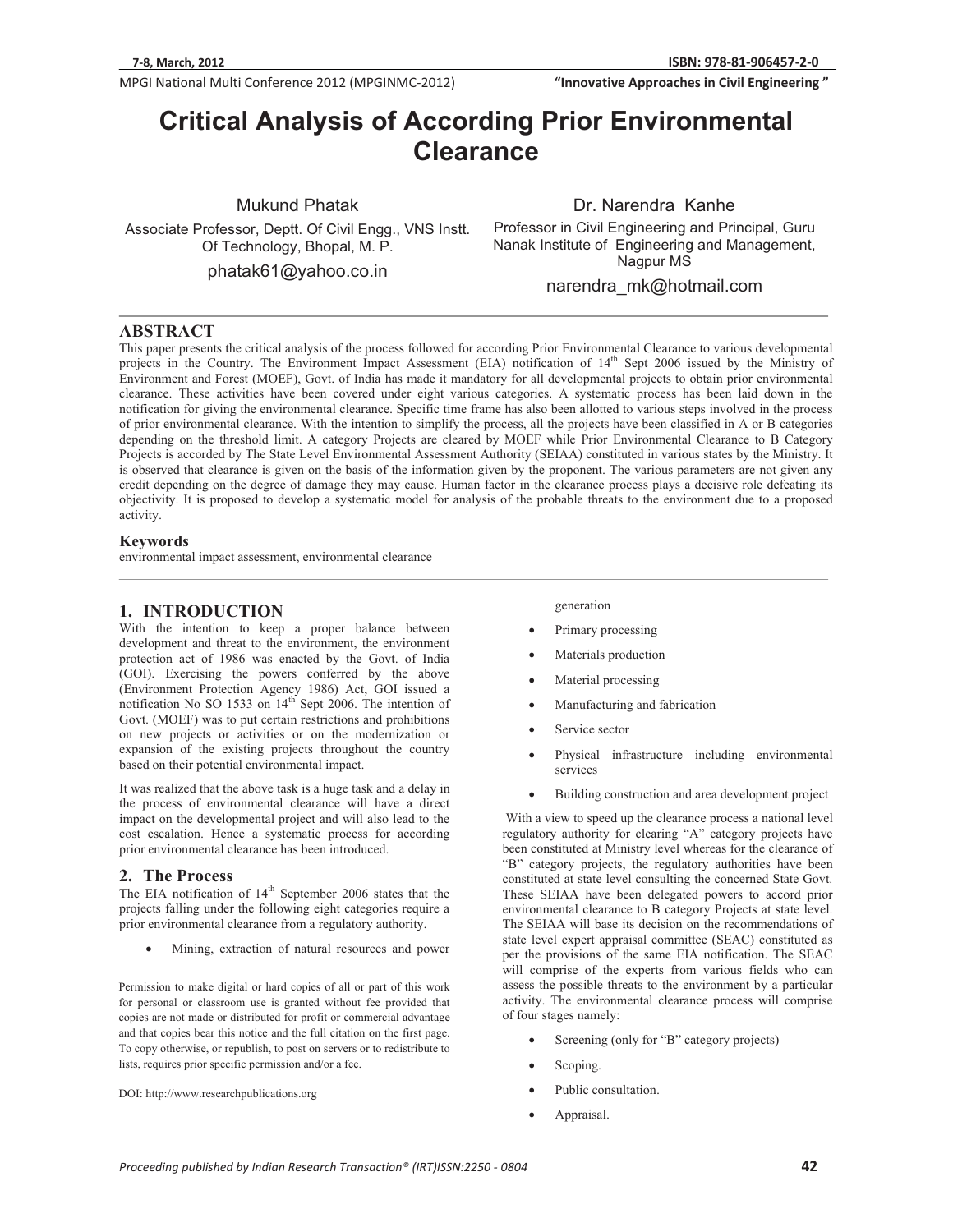**MPGI National Multi Conference 2012 (MPGINMC-2012) <b>The Conference of City Conference 2012** (MPGINMC-2012) **The Conference of City Conference 2012** (MPGINMC-2012)

**We are the Civil Engineering**<br> **812-11 Civil Engineering "InnovativeApproachesinCivilEngineering"**

# **Critical Analysis of According Prior Environmental Clearance**

Mukund Phatak

Associate Professor, Deptt. Of Civil Engg., VNS Instt. Of Technology, Bhopal, M. P.

phatak61@yahoo.co.in

Dr. Narendra Kanhe

Professor in Civil Engineering and Principal, Guru Nanak Institute of Engineering and Management, Nagpur MS

narendra\_mk@hotmail.com

### **ABSTRACT**

This paper presents the critical analysis of the process followed for according Prior Environmental Clearance to various developmental projects in the Country. The Environment Impact Assessment (EIA) notification of 14<sup>th</sup> Sept 2006 issued by the Ministry of Environment and Forest (MOEF), Govt. of India has made it mandatory for all developmental projects to obtain prior environmental clearance. These activities have been covered under eight various categories. A systematic process has been laid down in the notification for giving the environmental clearance. Specific time frame has also been allotted to various steps involved in the process of prior environmental clearance. With the intention to simplify the process, all the projects have been classified in A or B categories depending on the threshold limit. A category Projects are cleared by MOEF while Prior Environmental Clearance to B Category Projects is accorded by The State Level Environmental Assessment Authority (SEIAA) constituted in various states by the Ministry. It is observed that clearance is given on the basis of the information given by the proponent. The various parameters are not given any credit depending on the degree of damage they may cause. Human factor in the clearance process plays a decisive role defeating its objectivity. It is proposed to develop a systematic model for analysis of the probable threats to the environment due to a proposed activity.

#### **Keywords**

environmental impact assessment, environmental clearance

## **1. INTRODUCTION**

With the intention to keep a proper balance between development and threat to the environment, the environment protection act of 1986 was enacted by the Govt. of India (GOI). Exercising the powers conferred by the above (Environment Protection Agency 1986) Act, GOI issued a notification No SO 1533 on 14<sup>th</sup> Sept 2006. The intention of Govt. (MOEF) was to put certain restrictions and prohibitions on new projects or activities or on the modernization or expansion of the existing projects throughout the country based on their potential environmental impact.

It was realized that the above task is a huge task and a delay in the process of environmental clearance will have a direct impact on the developmental project and will also lead to the cost escalation. Hence a systematic process for according prior environmental clearance has been introduced.

### **2. The Process**

The EIA notification of  $14<sup>th</sup>$  September 2006 states that the projects falling under the following eight categories require a prior environmental clearance from a regulatory authority.

-Mining, extraction of natural resources and power

Permission to make digital or hard copies of all or part of this work for personal or classroom use is granted without fee provided that copies are not made or distributed for profit or commercial advantage and that copies bear this notice and the full citation on the first page. To copy otherwise, or republish, to post on servers or to redistribute to lists, requires prior specific permission and/or a fee.

DOI: http://www.researchpublications.org

generation

- -Primary processing
- -Materials production
- -Material processing
- -Manufacturing and fabrication
- -Service sector
- - Physical infrastructure including environmental services
- -Building construction and area development project

 With a view to speed up the clearance process a national level regulatory authority for clearing "A" category projects have been constituted at Ministry level whereas for the clearance of "B" category projects, the regulatory authorities have been constituted at state level consulting the concerned State Govt. These SEIAA have been delegated powers to accord prior environmental clearance to B category Projects at state level. The SEIAA will base its decision on the recommendations of state level expert appraisal committee (SEAC) constituted as per the provisions of the same EIA notification. The SEAC will comprise of the experts from various fields who can assess the possible threats to the environment by a particular activity. The environmental clearance process will comprise of four stages namely:

- -Screening (only for "B" category projects)
- -Scoping.
- -Public consultation.
- -Appraisal.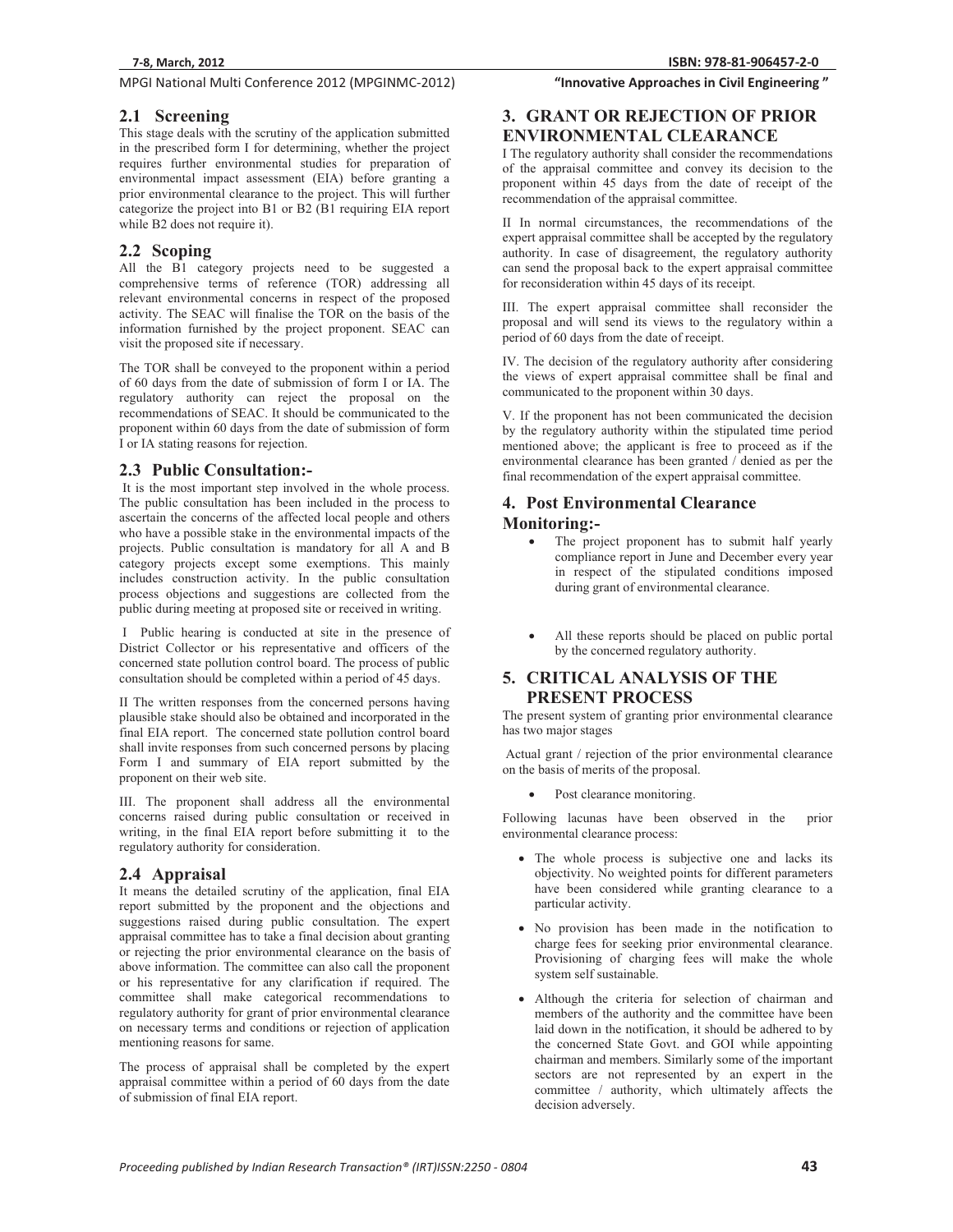**MPGI National Multi Conference 2012 (MPGINMC-2012) <b>The Conference of City Conference 2012** (MPGINMC-2012) **The Conference of City Conference 2012** (MPGINMC-2012)

## **2.1 Screening**

This stage deals with the scrutiny of the application submitted in the prescribed form I for determining, whether the project requires further environmental studies for preparation of environmental impact assessment (EIA) before granting a prior environmental clearance to the project. This will further categorize the project into B1 or B2 (B1 requiring EIA report while B2 does not require it).

## **2.2 Scoping**

All the B1 category projects need to be suggested a comprehensive terms of reference (TOR) addressing all relevant environmental concerns in respect of the proposed activity. The SEAC will finalise the TOR on the basis of the information furnished by the project proponent. SEAC can visit the proposed site if necessary.

The TOR shall be conveyed to the proponent within a period of 60 days from the date of submission of form I or IA. The regulatory authority can reject the proposal on the recommendations of SEAC. It should be communicated to the proponent within 60 days from the date of submission of form I or IA stating reasons for rejection.

## **2.3 Public Consultation:-**

 It is the most important step involved in the whole process. The public consultation has been included in the process to ascertain the concerns of the affected local people and others who have a possible stake in the environmental impacts of the projects. Public consultation is mandatory for all A and B category projects except some exemptions. This mainly includes construction activity. In the public consultation process objections and suggestions are collected from the public during meeting at proposed site or received in writing.

 I Public hearing is conducted at site in the presence of District Collector or his representative and officers of the concerned state pollution control board. The process of public consultation should be completed within a period of 45 days.

II The written responses from the concerned persons having plausible stake should also be obtained and incorporated in the final EIA report. The concerned state pollution control board shall invite responses from such concerned persons by placing Form I and summary of EIA report submitted by the proponent on their web site.

III. The proponent shall address all the environmental concerns raised during public consultation or received in writing, in the final EIA report before submitting it to the regulatory authority for consideration.

## **2.4 Appraisal**

It means the detailed scrutiny of the application, final EIA report submitted by the proponent and the objections and suggestions raised during public consultation. The expert appraisal committee has to take a final decision about granting or rejecting the prior environmental clearance on the basis of above information. The committee can also call the proponent or his representative for any clarification if required. The committee shall make categorical recommendations to regulatory authority for grant of prior environmental clearance on necessary terms and conditions or rejection of application mentioning reasons for same.

The process of appraisal shall be completed by the expert appraisal committee within a period of 60 days from the date of submission of final EIA report.

**81-906457-2-0 "InnovativeApproachesinCivilEngineering"**

## **3. GRANT OR REJECTION OF PRIOR ENVIRONMENTAL CLEARANCE**

I The regulatory authority shall consider the recommendations of the appraisal committee and convey its decision to the proponent within 45 days from the date of receipt of the recommendation of the appraisal committee.

II In normal circumstances, the recommendations of the expert appraisal committee shall be accepted by the regulatory authority. In case of disagreement, the regulatory authority can send the proposal back to the expert appraisal committee for reconsideration within 45 days of its receipt.

III. The expert appraisal committee shall reconsider the proposal and will send its views to the regulatory within a period of 60 days from the date of receipt.

IV. The decision of the regulatory authority after considering the views of expert appraisal committee shall be final and communicated to the proponent within 30 days.

V. If the proponent has not been communicated the decision by the regulatory authority within the stipulated time period mentioned above; the applicant is free to proceed as if the environmental clearance has been granted / denied as per the final recommendation of the expert appraisal committee.

## **4. Post Environmental Clearance**

## **Monitoring:-** -

- The project proponent has to submit half yearly compliance report in June and December every year in respect of the stipulated conditions imposed during grant of environmental clearance.
- - All these reports should be placed on public portal by the concerned regulatory authority.

## **5. CRITICAL ANALYSIS OF THE PRESENT PROCESS**

The present system of granting prior environmental clearance has two major stages

 Actual grant / rejection of the prior environmental clearance on the basis of merits of the proposal.

-Post clearance monitoring.

Following lacunas have been observed in the prior environmental clearance process:

- The whole process is subjective one and lacks its objectivity. No weighted points for different parameters have been considered while granting clearance to a particular activity.
- No provision has been made in the notification to charge fees for seeking prior environmental clearance. Provisioning of charging fees will make the whole system self sustainable.
- Although the criteria for selection of chairman and members of the authority and the committee have been laid down in the notification, it should be adhered to by the concerned State Govt. and GOI while appointing chairman and members. Similarly some of the important sectors are not represented by an expert in the committee / authority, which ultimately affects the decision adversely.